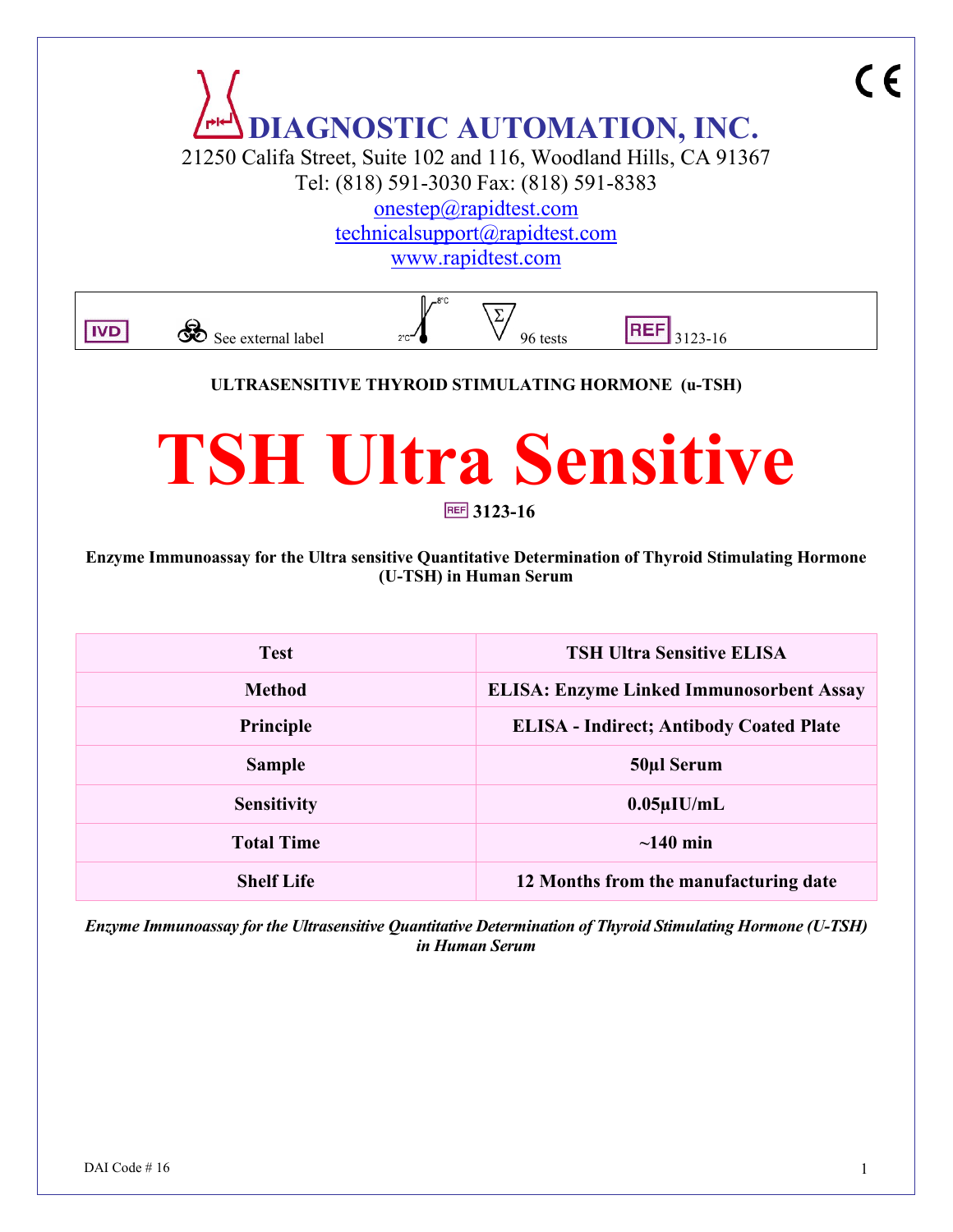

**Sensitivity 0.05µIU/mL Total Time ~140 min**

**Shelf Life 12 Months from the manufacturing date** 

*Enzyme Immunoassay for the Ultrasensitive Quantitative Determination of Thyroid Stimulating Hormone (U-TSH) in Human Serum*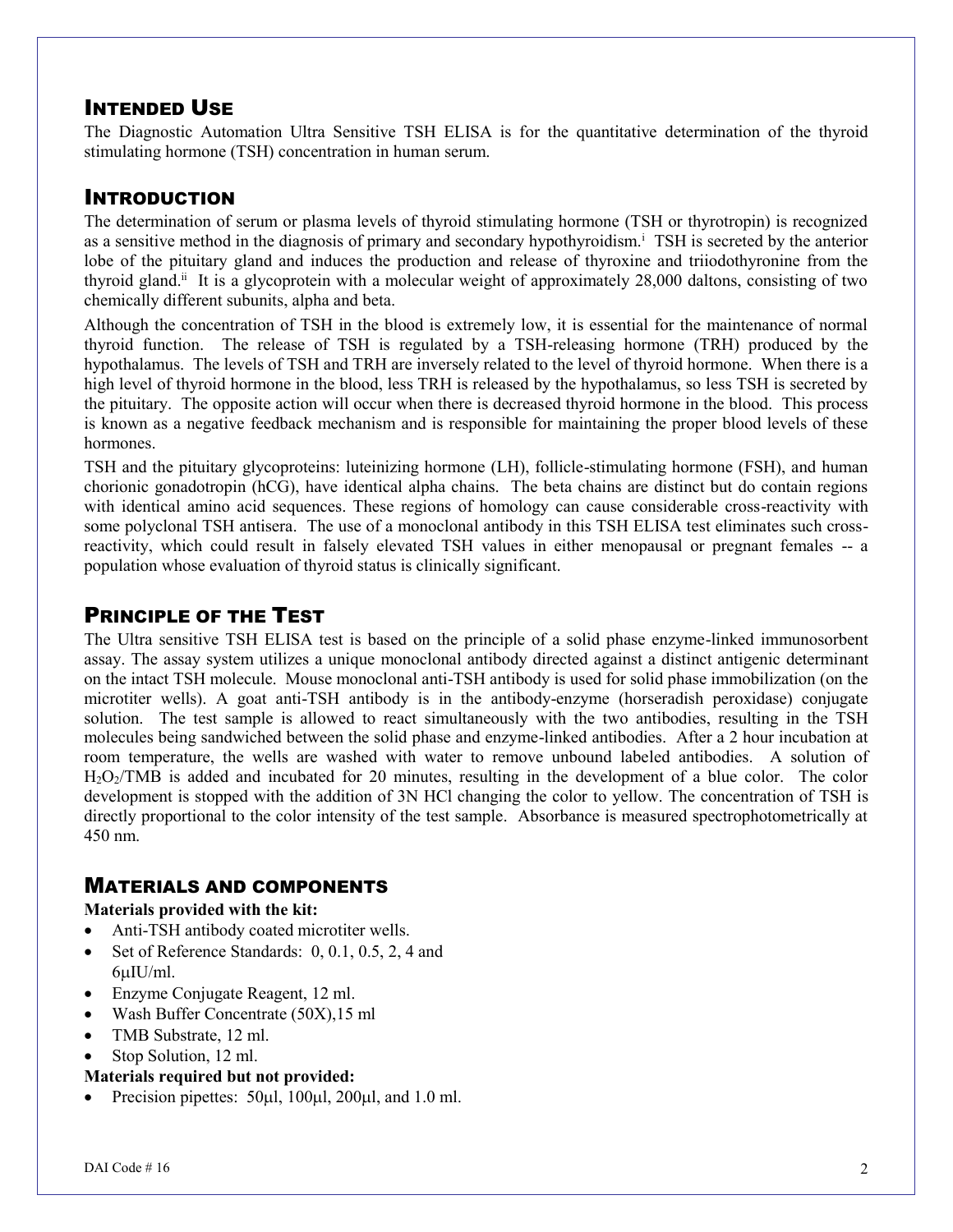### INTENDED USE

The Diagnostic Automation Ultra Sensitive TSH ELISA is for the quantitative determination of the thyroid stimulating hormone (TSH) concentration in human serum.

# INTRODUCTION

The determination of serum or plasma levels of thyroid stimulating hormone (TSH or thyrotropin) is recognized as a sensitive method in the diagnosis of primary and secondary hypothyroidism.<sup>i</sup> TSH is secreted by the anterior lobe of the pituitary gland and induces the production and release of thyroxine and triiodothyronine from the thyroid gland.<sup>ii</sup> It is a glycoprotein with a molecular weight of approximately 28,000 daltons, consisting of two chemically different subunits, alpha and beta.

Although the concentration of TSH in the blood is extremely low, it is essential for the maintenance of normal thyroid function. The release of TSH is regulated by a TSH-releasing hormone (TRH) produced by the hypothalamus. The levels of TSH and TRH are inversely related to the level of thyroid hormone. When there is a high level of thyroid hormone in the blood, less TRH is released by the hypothalamus, so less TSH is secreted by the pituitary. The opposite action will occur when there is decreased thyroid hormone in the blood. This process is known as a negative feedback mechanism and is responsible for maintaining the proper blood levels of these hormones.

TSH and the pituitary glycoproteins: luteinizing hormone (LH), follicle-stimulating hormone (FSH), and human chorionic gonadotropin (hCG), have identical alpha chains. The beta chains are distinct but do contain regions with identical amino acid sequences. These regions of homology can cause considerable cross-reactivity with some polyclonal TSH antisera. The use of a monoclonal antibody in this TSH ELISA test eliminates such crossreactivity, which could result in falsely elevated TSH values in either menopausal or pregnant females -- a population whose evaluation of thyroid status is clinically significant.

### PRINCIPLE OF THE TEST

The Ultra sensitive TSH ELISA test is based on the principle of a solid phase enzyme-linked immunosorbent assay. The assay system utilizes a unique monoclonal antibody directed against a distinct antigenic determinant on the intact TSH molecule. Mouse monoclonal anti-TSH antibody is used for solid phase immobilization (on the microtiter wells). A goat anti-TSH antibody is in the antibody-enzyme (horseradish peroxidase) conjugate solution. The test sample is allowed to react simultaneously with the two antibodies, resulting in the TSH molecules being sandwiched between the solid phase and enzyme-linked antibodies. After a 2 hour incubation at room temperature, the wells are washed with water to remove unbound labeled antibodies. A solution of H2O2/TMB is added and incubated for 20 minutes, resulting in the development of a blue color. The color development is stopped with the addition of 3N HCl changing the color to yellow. The concentration of TSH is directly proportional to the color intensity of the test sample. Absorbance is measured spectrophotometrically at 450 nm.

#### MATERIALS AND COMPONENTS

#### **Materials provided with the kit:**

- Anti-TSH antibody coated microtiter wells.
- Set of Reference Standards: 0, 0.1, 0.5, 2, 4 and  $6u$ IU/ml.
- Enzyme Conjugate Reagent, 12 ml.
- Wash Buffer Concentrate (50X),15 ml
- TMB Substrate, 12 ml.
- Stop Solution, 12 ml.

#### **Materials required but not provided:**

Precision pipettes:  $50\mu$ l,  $100\mu$ l,  $200\mu$ l, and  $1.0$  ml.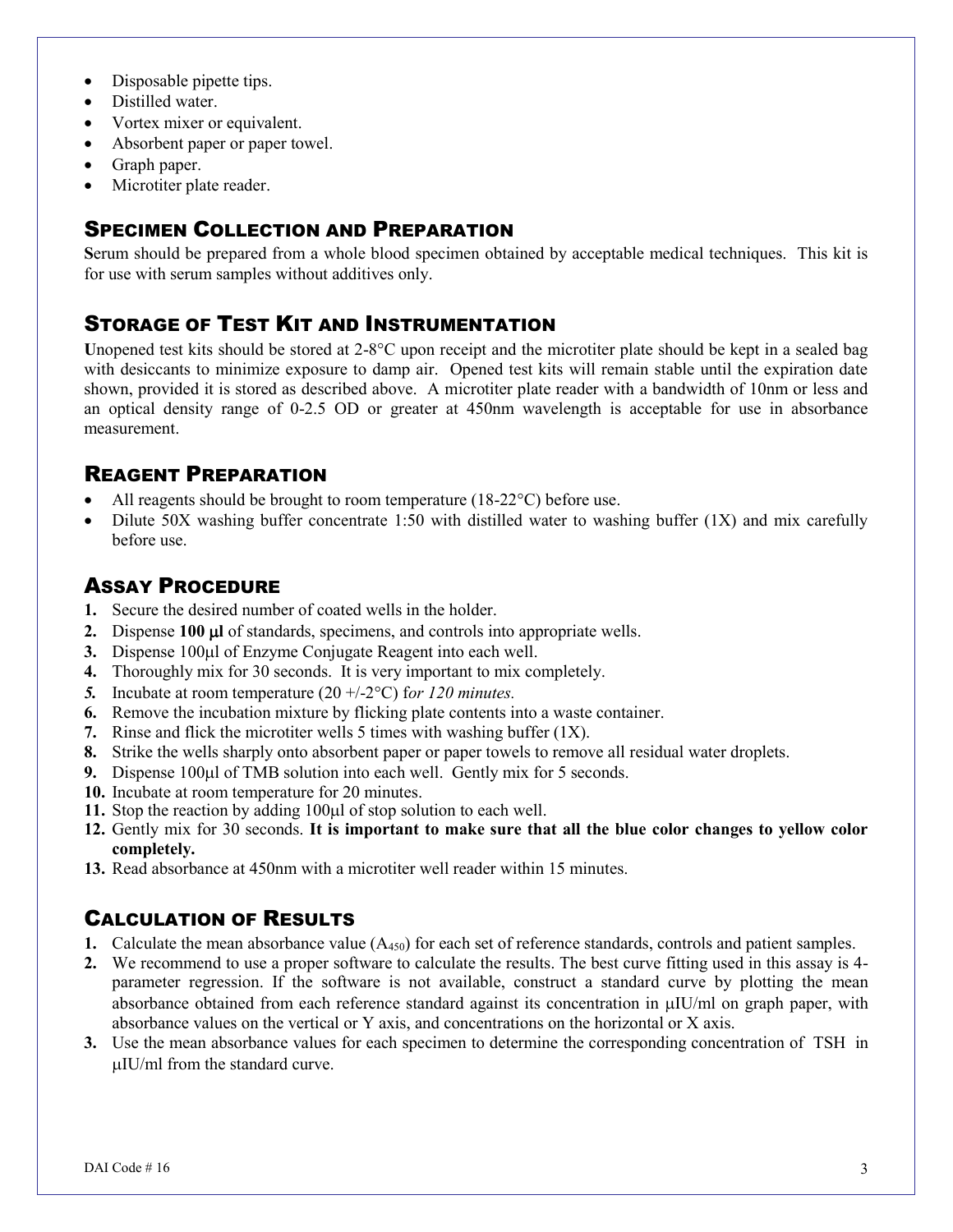- Disposable pipette tips.
- Distilled water.
- Vortex mixer or equivalent.
- Absorbent paper or paper towel.
- Graph paper.
- Microtiter plate reader.

## SPECIMEN COLLECTION AND PREPARATION

**S**erum should be prepared from a whole blood specimen obtained by acceptable medical techniques. This kit is for use with serum samples without additives only.

## STORAGE OF TEST KIT AND INSTRUMENTATION

Unopened test kits should be stored at  $2-8^{\circ}C$  upon receipt and the microtiter plate should be kept in a sealed bag with desiccants to minimize exposure to damp air. Opened test kits will remain stable until the expiration date shown, provided it is stored as described above. A microtiter plate reader with a bandwidth of 10nm or less and an optical density range of 0-2.5 OD or greater at 450nm wavelength is acceptable for use in absorbance measurement.

## REAGENT PREPARATION

- All reagents should be brought to room temperature  $(18-22^{\circ}C)$  before use.
- Dilute 50X washing buffer concentrate 1:50 with distilled water to washing buffer (1X) and mix carefully before use.

### ASSAY PROCEDURE

- **1.** Secure the desired number of coated wells in the holder.
- **2.** Dispense **100 l** of standards, specimens, and controls into appropriate wells.
- **3.** Dispense 100µl of Enzyme Conjugate Reagent into each well.
- **4.** Thoroughly mix for 30 seconds. It is very important to mix completely.
- 5. Incubate at room temperature  $(20 +1.2^{\circ}\text{C})$  for 120 minutes.
- **6.** Remove the incubation mixture by flicking plate contents into a waste container.
- **7.** Rinse and flick the microtiter wells 5 times with washing buffer (1X).
- **8.** Strike the wells sharply onto absorbent paper or paper towels to remove all residual water droplets.
- **9.** Dispense 100ul of TMB solution into each well. Gently mix for 5 seconds.
- **10.** Incubate at room temperature for 20 minutes.
- 11. Stop the reaction by adding 100 $\mu$ l of stop solution to each well.
- **12.** Gently mix for 30 seconds. **It is important to make sure that all the blue color changes to yellow color completely.**
- **13.** Read absorbance at 450nm with a microtiter well reader within 15 minutes.

# CALCULATION OF RESULTS

- **1.** Calculate the mean absorbance value (A<sub>450</sub>) for each set of reference standards, controls and patient samples.
- **2.** We recommend to use a proper software to calculate the results. The best curve fitting used in this assay is 4 parameter regression. If the software is not available, construct a standard curve by plotting the mean absorbance obtained from each reference standard against its concentration in  $\mu$ IU/ml on graph paper, with absorbance values on the vertical or Y axis, and concentrations on the horizontal or X axis.
- **3.** Use the mean absorbance values for each specimen to determine the corresponding concentration of TSH in  $\mu$ IU/ml from the standard curve.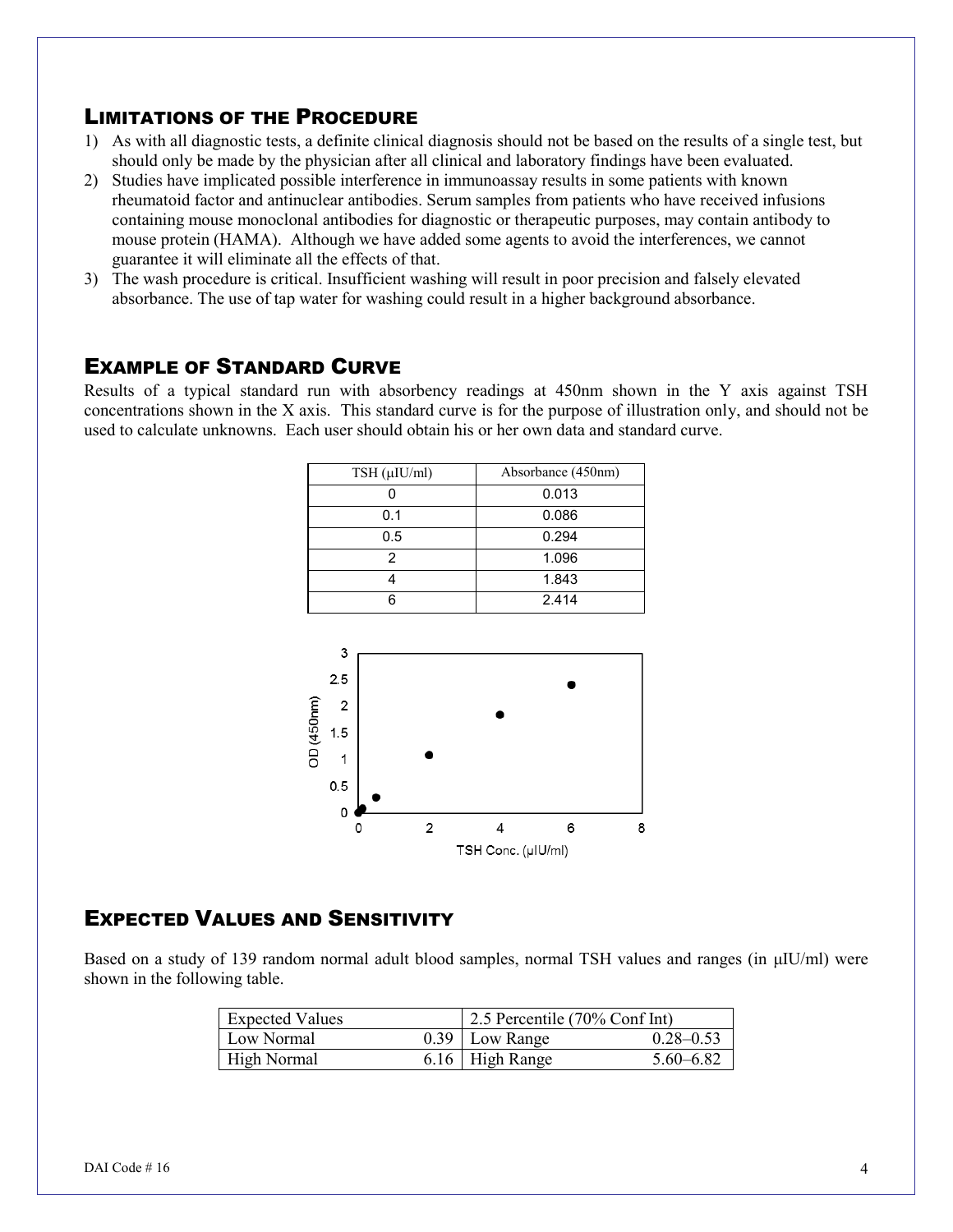#### LIMITATIONS OF THE PROCEDURE

- 1) As with all diagnostic tests, a definite clinical diagnosis should not be based on the results of a single test, but should only be made by the physician after all clinical and laboratory findings have been evaluated.
- 2) Studies have implicated possible interference in immunoassay results in some patients with known rheumatoid factor and antinuclear antibodies. Serum samples from patients who have received infusions containing mouse monoclonal antibodies for diagnostic or therapeutic purposes, may contain antibody to mouse protein (HAMA). Although we have added some agents to avoid the interferences, we cannot guarantee it will eliminate all the effects of that.
- 3) The wash procedure is critical. Insufficient washing will result in poor precision and falsely elevated absorbance. The use of tap water for washing could result in a higher background absorbance.

#### EXAMPLE OF STANDARD CURVE

Results of a typical standard run with absorbency readings at 450nm shown in the Y axis against TSH concentrations shown in the X axis. This standard curve is for the purpose of illustration only, and should not be used to calculate unknowns. Each user should obtain his or her own data and standard curve.

| $TSH$ ( $\mu$ IU/ml) | Absorbance (450nm) |
|----------------------|--------------------|
|                      | 0.013              |
| 0.1                  | 0.086              |
| 0.5                  | 0.294              |
| 2                    | 1.096              |
|                      | 1.843              |
|                      | 2.414              |



### EXPECTED VALUES AND SENSITIVITY

Based on a study of 139 random normal adult blood samples, normal TSH values and ranges (in μIU/ml) were shown in the following table.

| <b>Expected Values</b> | 2.5 Percentile (70% Conf Int) |               |
|------------------------|-------------------------------|---------------|
| Low Normal             | $0.39$ Low Range              | $0.28 - 0.53$ |
| <b>High Normal</b>     | $6.16$ High Range             | $5.60 - 6.82$ |